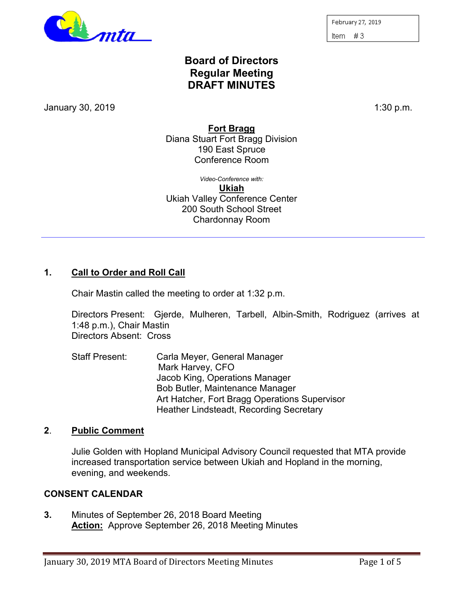

February 27, 2019 Item  $#3$ 

# **Board of Directors Regular Meeting DRAFT MINUTES**

January 30, 2019 1:30 p.m.

**Fort Bragg**

Diana Stuart Fort Bragg Division 190 East Spruce Conference Room

*Video-Conference with:* **Ukiah** Ukiah Valley Conference Center 200 South School Street Chardonnay Room

## **1. Call to Order and Roll Call**

Chair Mastin called the meeting to order at 1:32 p.m.

Directors Present: Gjerde, Mulheren, Tarbell, Albin-Smith, Rodriguez (arrives at 1:48 p.m.), Chair Mastin Directors Absent: Cross

Staff Present: Carla Meyer, General Manager Mark Harvey, CFO Jacob King, Operations Manager Bob Butler, Maintenance Manager Art Hatcher, Fort Bragg Operations Supervisor Heather Lindsteadt, Recording Secretary

## **2**. **Public Comment**

Julie Golden with Hopland Municipal Advisory Council requested that MTA provide increased transportation service between Ukiah and Hopland in the morning, evening, and weekends.

## **CONSENT CALENDAR**

**3.** Minutes of September 26, 2018 Board Meeting **Action:** Approve September 26, 2018 Meeting Minutes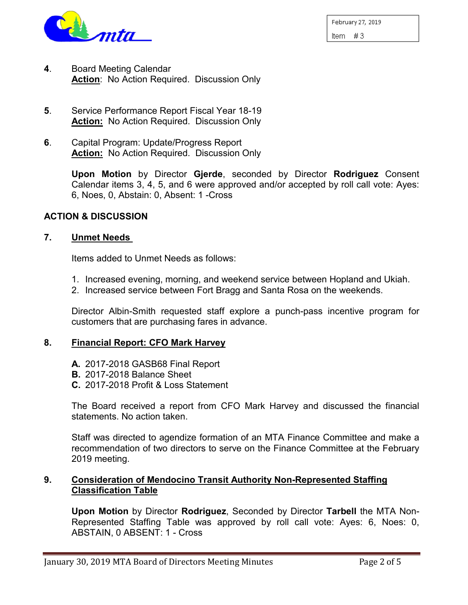

February 27, 2019 Item  $#3$ 

- **4**. Board Meeting Calendar **Action**: No Action Required. Discussion Only
- **5**. Service Performance Report Fiscal Year 18-19 **Action:** No Action Required. Discussion Only
- **6**. Capital Program: Update/Progress Report **Action:** No Action Required. Discussion Only

**Upon Motion** by Director **Gjerde**, seconded by Director **Rodriguez** Consent Calendar items 3, 4, 5, and 6 were approved and/or accepted by roll call vote: Ayes: 6, Noes, 0, Abstain: 0, Absent: 1 -Cross

### **ACTION & DISCUSSION**

### **7. Unmet Needs**

Items added to Unmet Needs as follows:

- 1. Increased evening, morning, and weekend service between Hopland and Ukiah.
- 2. Increased service between Fort Bragg and Santa Rosa on the weekends.

Director Albin-Smith requested staff explore a punch-pass incentive program for customers that are purchasing fares in advance.

## **8. Financial Report: CFO Mark Harvey**

- **A.** 2017-2018 GASB68 Final Report
- **B.** 2017-2018 Balance Sheet
- **C.** 2017-2018 Profit & Loss Statement

The Board received a report from CFO Mark Harvey and discussed the financial statements. No action taken.

Staff was directed to agendize formation of an MTA Finance Committee and make a recommendation of two directors to serve on the Finance Committee at the February 2019 meeting.

## **9. Consideration of Mendocino Transit Authority Non-Represented Staffing Classification Table**

**Upon Motion** by Director **Rodriguez**, Seconded by Director **Tarbell** the MTA Non-Represented Staffing Table was approved by roll call vote: Ayes: 6, Noes: 0, ABSTAIN, 0 ABSENT: 1 - Cross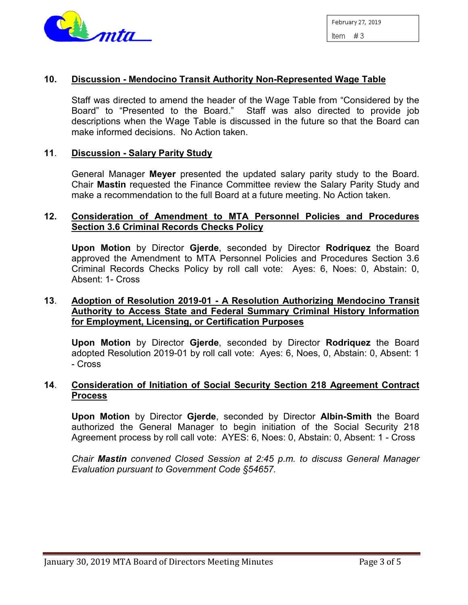

## **10. Discussion - Mendocino Transit Authority Non-Represented Wage Table**

Staff was directed to amend the header of the Wage Table from "Considered by the Board" to "Presented to the Board." Staff was also directed to provide job descriptions when the Wage Table is discussed in the future so that the Board can make informed decisions. No Action taken.

### **11**. **Discussion - Salary Parity Study**

General Manager **Meyer** presented the updated salary parity study to the Board. Chair **Mastin** requested the Finance Committee review the Salary Parity Study and make a recommendation to the full Board at a future meeting. No Action taken.

#### **12. Consideration of Amendment to MTA Personnel Policies and Procedures Section 3.6 Criminal Records Checks Policy**

**Upon Motion** by Director **Gjerde**, seconded by Director **Rodriquez** the Board approved the Amendment to MTA Personnel Policies and Procedures Section 3.6 Criminal Records Checks Policy by roll call vote: Ayes: 6, Noes: 0, Abstain: 0, Absent: 1- Cross

## **13**. **Adoption of Resolution 2019-01 - A Resolution Authorizing Mendocino Transit Authority to Access State and Federal Summary Criminal History Information for Employment, Licensing, or Certification Purposes**

**Upon Motion** by Director **Gjerde**, seconded by Director **Rodriquez** the Board adopted Resolution 2019-01 by roll call vote: Ayes: 6, Noes, 0, Abstain: 0, Absent: 1 - Cross

### **14**. **Consideration of Initiation of Social Security Section 218 Agreement Contract Process**

**Upon Motion** by Director **Gjerde**, seconded by Director **Albin-Smith** the Board authorized the General Manager to begin initiation of the Social Security 218 Agreement process by roll call vote: AYES: 6, Noes: 0, Abstain: 0, Absent: 1 - Cross

*Chair Mastin convened Closed Session at 2:45 p.m. to discuss General Manager Evaluation pursuant to Government Code §54657.*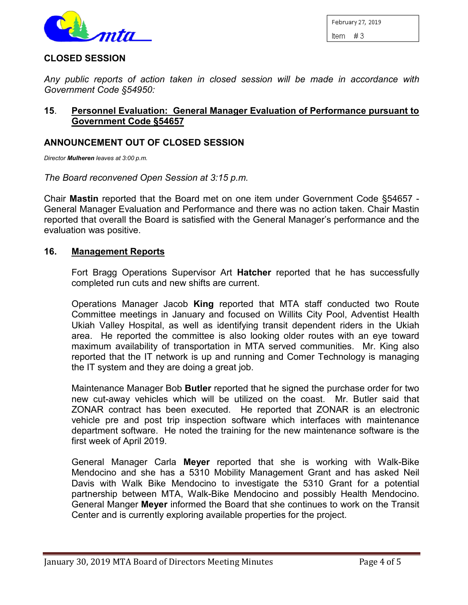

February 27, 2019

Item  $#3$ 

### **CLOSED SESSION**

*Any public reports of action taken in closed session will be made in accordance with Government Code §54950:*

## **15**. **Personnel Evaluation: General Manager Evaluation of Performance pursuant to Government Code §54657**

## **ANNOUNCEMENT OUT OF CLOSED SESSION**

*Director Mulheren leaves at 3:00 p.m.*

*The Board reconvened Open Session at 3:15 p.m.*

Chair **Mastin** reported that the Board met on one item under Government Code §54657 - General Manager Evaluation and Performance and there was no action taken. Chair Mastin reported that overall the Board is satisfied with the General Manager's performance and the evaluation was positive.

#### **16. Management Reports**

Fort Bragg Operations Supervisor Art **Hatcher** reported that he has successfully completed run cuts and new shifts are current.

Operations Manager Jacob **King** reported that MTA staff conducted two Route Committee meetings in January and focused on Willits City Pool, Adventist Health Ukiah Valley Hospital, as well as identifying transit dependent riders in the Ukiah area. He reported the committee is also looking older routes with an eye toward maximum availability of transportation in MTA served communities. Mr. King also reported that the IT network is up and running and Comer Technology is managing the IT system and they are doing a great job.

Maintenance Manager Bob **Butler** reported that he signed the purchase order for two new cut-away vehicles which will be utilized on the coast. Mr. Butler said that ZONAR contract has been executed. He reported that ZONAR is an electronic vehicle pre and post trip inspection software which interfaces with maintenance department software. He noted the training for the new maintenance software is the first week of April 2019.

General Manager Carla **Meyer** reported that she is working with Walk-Bike Mendocino and she has a 5310 Mobility Management Grant and has asked Neil Davis with Walk Bike Mendocino to investigate the 5310 Grant for a potential partnership between MTA, Walk-Bike Mendocino and possibly Health Mendocino. General Manger **Meyer** informed the Board that she continues to work on the Transit Center and is currently exploring available properties for the project.